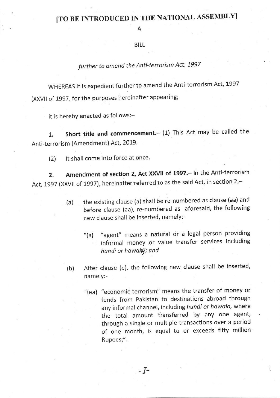# ITO BE INTRODUCED IN THE NATIONAL ASSEMBLYI

Α

#### BILL

## further to amend the Anti-terrorism Act, 1997

WHEREAS it is expedient further to amend the Anti-terrorism Act, 1997 (XXVll of 1997, for the purposes hereinafter appearing;

It is hereby enacted as follows:-

1. Short title and commencement. (1) This Act may be called the Anti-terrorism (Amendment) Act, 2019.

(2) lt shall come into force at once.

2. Amendment of section 2, Act XXVII of 1997. - In the Anti-terrorism Act, 1997 (XXVII of 1997), hereinafter referred to as the said Act, in section 2,-

- (a) the existing clause (a) shall be re-numbered as clause (aa) and before clause (aa), re-numbered as aforesaid, the following new clause shall be inserted, namely:-
	- $''(a)$ "agent" means a natural or a legal person providing informal money .or value transfer services including hundi or hawals"; and
- (b) After clause (e), the following new clause shall be inserted, namely:-
	- "(ea) "economic terrorism" means the transfer of money or funds from Pakistan to destinations abroad through any informal channel, including hundi or hawala, where the total amount transferred by any one agent, through a single or multiple transactions over a period of one month, is equal to or exceeds fifty million Rupees;".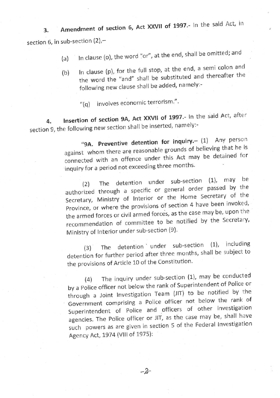Amendment of section 6, Act XXVII of 1997.- In the said Act, in section 6, in sub-section (2),-3.

- (a) In clause (o), the word "or", at the end, shall be omitted; and
- (b) In clause (p), for the full stop, at the end, a semi colon and the word the "and" shall be substituted and thereafter the following new clause shall be added, namely:-
	- $''(q)$  involves economic terrorism.".

4. Insertion of section 9A, Act XXVII of 1997.- In the said Act, after section 9, the following new section shall be inserted, namely:-

> "9A. Preventive detention for inquiry.- (1) Any person against whom there are reasonable grounds of believing that he is connected with an offence under this Act may be detained for inquiry for a period not exceeding three months.

> (2) The detention under sub-section  $(1)$ , may be authorized through a specific or generat order passed by the Secretary, Ministry of Interior or the Home Secretary of the Province, or where the provisions of section 4 have been invoked, the armed forces or civil armed forces, as the case may be, upon the recommendation of committee to be notified by the Secretary, Ministry of Interior under sub-section (9).

> $(3)$  The detention under sub-section  $(1)$ , including detention for further period after three months, shall be subject to the provisions of Art icle 10 of the Constitution'

(4) The inquiry under sub-section  $(1)$ , may be conducted by a police officer not below the rank of superintendent of Police or through a Joint Investigation Team (JIT) to be notified by the Government comprising a Police officer not below the rank of Superintendent of Police and officers of other investigation agencies. The Police officer or JIT, as the case may be, shall have such powers as are given in section 5 of the Federal Investigation Agency Act, 1974 (Vlll of 1975):

 $-2$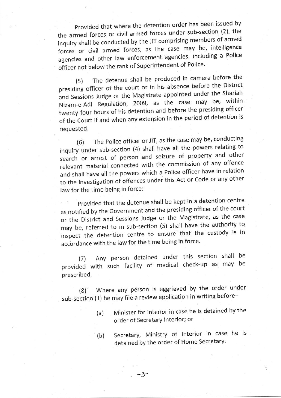Provided that where the detention order has been issued by the armed forces or civil armed forces under sub-section (2), the inquiry shall be conducted by the JIT comprising members of armed forces or civil armed forces, as the case may be, intelligence agencies and<br>officer.not.heli agencies and other law enforcement agencies, including a Police officer not below the rank of Superintendent of Police.

(5) The detenue shall be produced in camera before the presiding officer of the court or in his absence before the District and Sessions Judge or the Magistrate appointed under the Shariah Nizam-e-Adl Regulation, 2009, as the case may be, within twenty-four hours of his detention and before the presiding officer of the Court if and when any extension in the period of detention is requested.

(6) The Police officer or JIT, as the case may be, conducting inquiry under sub-section (4) shall have all the powers relating to search or arrest of person and seizure of property and other relevant material connected with the commission of any offence and shall have all the powers which a Police officer have in relation to the investigation of of{ences under this Act or Code or any other law for the time being in force:

Provided that the detenue shall be kept in a detention centre as notified by the Government and the presiding officer of the court or the District and Sessions Judge or the Magistrate, as the case may be, referred to in sub-section (5) shall have the authority to inspect the detention centre to ensure that the custody is in accordance with the law for the time being in force.

(7) Any person detained under this section shall be provided with such facility of medical check-up as may be prescribed.

(8) Where any person is aggrieved by the order under sub-section (1) he may file a review application in writing before-

- (a) Minister for lnterior in case he is detained by the order of Secretary lnterior; or
- Secretary, Ministry of lnterior in case he is detained by the order of Home Secretary. (b)

 $-3$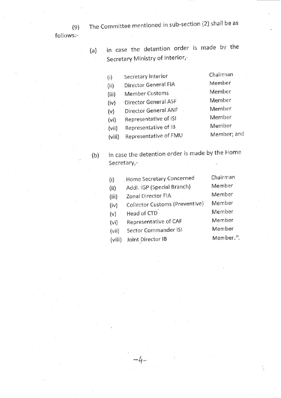The committee mentioned in sub-section (2) shall be as

follows:

(a) in case the detention order is made bv the Secretary Ministry of Interior,-

| (i)    | Secretary Interior    | Chairman    |
|--------|-----------------------|-------------|
| (ii)   | Director General FIA  | Member      |
| (iii)  | <b>Member Customs</b> | Member      |
| (iv)   | Director General ASF  | Member      |
| (v)    | Director General ANF  | Member      |
| (vi)   | Representative of ISI | Member      |
| (vii)  | Representative of IB  | Member      |
| (viii) | Representative of FMU | Member; and |
|        |                       |             |

SecretarY,- (b) in case the detention order is made by the Home

| (i)    | Home Secretary Concerned       | Chairman  |
|--------|--------------------------------|-----------|
| (ii)   | Addl. IGP (Special Branch)     | Member    |
| (iii)  | Zonal Director FIA             | Member    |
| (iv)   | Collector Customs (Preventive) | Member    |
| (v)    | Head of CTD                    | Member    |
| (vi)   | Representative of CAF          | Member    |
| (vii)  | Sector Commander ISI           | Member    |
| (viii) | Joint Director IB              | Member.". |
|        |                                |           |

4-

(e)

 $\mathbf{I}$